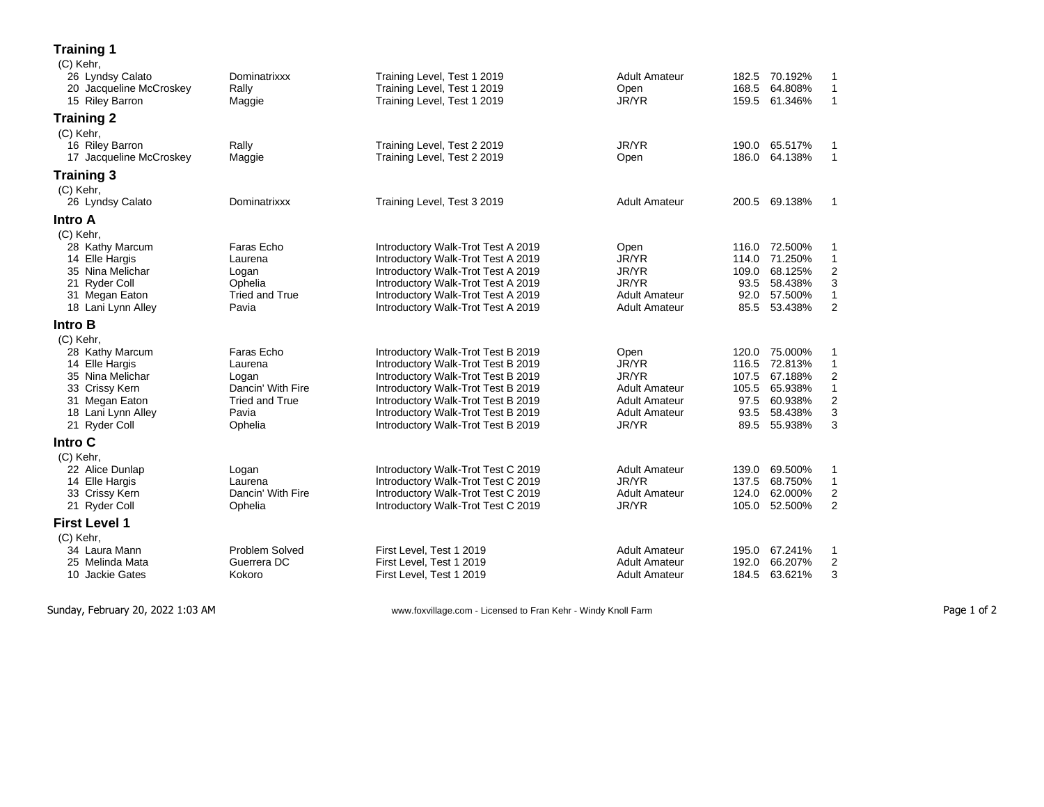## **Training 1**

| (C) Kehr,               |                       |                                    |                      |       |               |                |
|-------------------------|-----------------------|------------------------------------|----------------------|-------|---------------|----------------|
| 26 Lyndsy Calato        | Dominatrixxx          | Training Level, Test 1 2019        | <b>Adult Amateur</b> |       | 182.5 70.192% | 1              |
| 20 Jacqueline McCroskey | Rally                 | Training Level, Test 1 2019        | Open                 | 168.5 | 64.808%       | $\mathbf{1}$   |
| 15 Riley Barron         | Maggie                | Training Level, Test 1 2019        | JR/YR                | 159.5 | 61.346%       | $\mathbf{1}$   |
| <b>Training 2</b>       |                       |                                    |                      |       |               |                |
| (C) Kehr,               |                       |                                    |                      |       |               |                |
| 16 Riley Barron         | Rally                 | Training Level, Test 2 2019        | JR/YR                | 190.0 | 65.517%       | 1              |
| 17 Jacqueline McCroskey | Maggie                | Training Level, Test 2 2019        | Open                 | 186.0 | 64.138%       | 1              |
| <b>Training 3</b>       |                       |                                    |                      |       |               |                |
| (C) Kehr,               |                       |                                    |                      |       |               |                |
| 26 Lyndsy Calato        | Dominatrixxx          | Training Level, Test 3 2019        | <b>Adult Amateur</b> | 200.5 | 69.138%       | 1              |
| <b>Intro A</b>          |                       |                                    |                      |       |               |                |
| (C) Kehr,               |                       |                                    |                      |       |               |                |
| 28 Kathy Marcum         | Faras Echo            | Introductory Walk-Trot Test A 2019 | Open                 |       | 116.0 72.500% | 1              |
| 14 Elle Hargis          | Laurena               | Introductory Walk-Trot Test A 2019 | JR/YR                | 114.0 | 71.250%       | $\mathbf{1}$   |
| 35 Nina Melichar        | Logan                 | Introductory Walk-Trot Test A 2019 | JR/YR                | 109.0 | 68.125%       | $\overline{2}$ |
| 21 Ryder Coll           | Ophelia               | Introductory Walk-Trot Test A 2019 | JR/YR                | 93.5  | 58.438%       | 3              |
| 31 Megan Eaton          | <b>Tried and True</b> | Introductory Walk-Trot Test A 2019 | <b>Adult Amateur</b> | 92.0  | 57.500%       | $\mathbf{1}$   |
| 18 Lani Lynn Alley      | Pavia                 | Introductory Walk-Trot Test A 2019 | <b>Adult Amateur</b> | 85.5  | 53.438%       | $\overline{2}$ |
| Intro B                 |                       |                                    |                      |       |               |                |
| (C) Kehr,               |                       |                                    |                      |       |               |                |
| 28 Kathy Marcum         | Faras Echo            | Introductory Walk-Trot Test B 2019 | Open                 | 120.0 | 75.000%       | 1              |
| 14 Elle Hargis          | Laurena               | Introductory Walk-Trot Test B 2019 | JR/YR                | 116.5 | 72.813%       | $\mathbf{1}$   |
| 35 Nina Melichar        | Logan                 | Introductory Walk-Trot Test B 2019 | JR/YR                | 107.5 | 67.188%       | 2              |
| 33 Crissy Kern          | Dancin' With Fire     | Introductory Walk-Trot Test B 2019 | <b>Adult Amateur</b> | 105.5 | 65.938%       | 1              |
| 31 Megan Eaton          | <b>Tried and True</b> | Introductory Walk-Trot Test B 2019 | <b>Adult Amateur</b> | 97.5  | 60.938%       | $\overline{2}$ |
| 18 Lani Lynn Alley      | Pavia                 | Introductory Walk-Trot Test B 2019 | <b>Adult Amateur</b> | 93.5  | 58.438%       | 3              |
| 21 Ryder Coll           | Ophelia               | Introductory Walk-Trot Test B 2019 | JR/YR                | 89.5  | 55.938%       | 3              |
| Intro C                 |                       |                                    |                      |       |               |                |
| (C) Kehr,               |                       |                                    |                      |       |               |                |
| 22 Alice Dunlap         | Logan                 | Introductory Walk-Trot Test C 2019 | <b>Adult Amateur</b> | 139.0 | 69.500%       | 1              |
| 14 Elle Hargis          | Laurena               | Introductory Walk-Trot Test C 2019 | JR/YR                | 137.5 | 68.750%       | 1              |
| 33 Crissy Kern          | Dancin' With Fire     | Introductory Walk-Trot Test C 2019 | <b>Adult Amateur</b> | 124.0 | 62.000%       | $\overline{c}$ |
| 21 Ryder Coll           | Ophelia               | Introductory Walk-Trot Test C 2019 | JR/YR                | 105.0 | 52.500%       | $\overline{2}$ |
| <b>First Level 1</b>    |                       |                                    |                      |       |               |                |
| (C) Kehr,               |                       |                                    |                      |       |               |                |
| 34 Laura Mann           | <b>Problem Solved</b> | First Level, Test 1 2019           | <b>Adult Amateur</b> | 195.0 | 67.241%       | 1              |
| 25 Melinda Mata         | Guerrera DC           | First Level, Test 1 2019           | <b>Adult Amateur</b> | 192.0 | 66.207%       | $\overline{2}$ |
| 10 Jackie Gates         | Kokoro                | First Level, Test 1 2019           | <b>Adult Amateur</b> | 184.5 | 63.621%       | 3              |
|                         |                       |                                    |                      |       |               |                |

Sunday, February 20, 2022 1:03 AM

- Licensed to Fran Kehr - Windy Knoll Farm Page 1 of 2